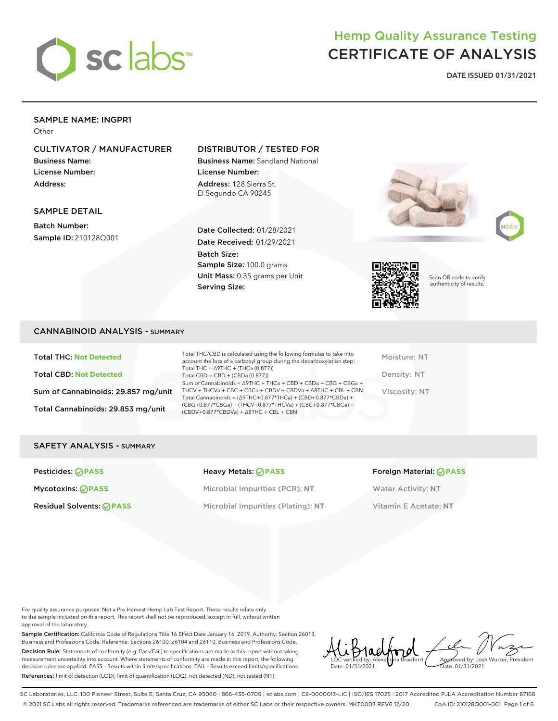

## Hemp Quality Assurance Testing CERTIFICATE OF ANALYSIS

**DATE ISSUED 01/31/2021**

## SAMPLE NAME: INGPR1

**Other** 

## CULTIVATOR / MANUFACTURER

Business Name: License Number: Address:

## DISTRIBUTOR / TESTED FOR

Business Name: Sandland National License Number: Address: 128 Sierra St. El Segundo CA 90245

## SAMPLE DETAIL

Batch Number: Sample ID: 210128Q001

Date Collected: 01/28/2021 Date Received: 01/29/2021 Batch Size: Sample Size: 100.0 grams Unit Mass: 0.35 grams per Unit Serving Size:







Scan QR code to verify authenticity of results.

## CANNABINOID ANALYSIS - SUMMARY

Total THC: **Not Detected** Total CBD: **Not Detected** Sum of Cannabinoids: 29.857 mg/unit Total Cannabinoids: 29.853 mg/unit

Total THC/CBD is calculated using the following formulas to take into account the loss of a carboxyl group during the decarboxylation step: Total THC = ∆9THC + (THCa (0.877)) Total CBD = CBD + (CBDa (0.877)) Sum of Cannabinoids = ∆9THC + THCa + CBD + CBDa + CBG + CBGa + THCV + THCVa + CBC + CBCa + CBDV + CBDVa + ∆8THC + CBL + CBN Total Cannabinoids = (∆9THC+0.877\*THCa) + (CBD+0.877\*CBDa) + (CBG+0.877\*CBGa) + (THCV+0.877\*THCVa) + (CBC+0.877\*CBCa) + (CBDV+0.877\*CBDVa) + ∆8THC + CBL + CBN

Moisture: NT Density: NT Viscosity: NT

### SAFETY ANALYSIS - SUMMARY

Mycotoxins: **PASS** Microbial Impurities (PCR): **NT** Water Activity: **NT** Residual Solvents: **PASS** Microbial Impurities (Plating): **NT** Vitamin E Acetate: **NT**

#### Pesticides: **PASS** Heavy Metals: **PASS** Foreign Material: **PASS**

For quality assurance purposes. Not a Pre-Harvest Hemp Lab Test Report. These results relate only to the sample included on this report. This report shall not be reproduced, except in full, without written approval of the laboratory.

Sample Certification: California Code of Regulations Title 16 Effect Date January 16, 2019. Authority: Section 26013, Business and Professions Code. Reference: Sections 26100, 26104 and 26110, Business and Professions Code. Decision Rule: Statements of conformity (e.g. Pass/Fail) to specifications are made in this report without taking measurement uncertainty into account. Where statements of conformity are made in this report, the following decision rules are applied: PASS – Results within limits/specifications, FAIL – Results exceed limits/specifications. References: limit of detection (LOD), limit of quantification (LOQ), not detected (ND), not tested (NT)

LQC verified by: Alexandria Bradford Date: 01/31/2021 Approved by: Josh Wurzer, President ate: 01/31/2021

SC Laboratories, LLC. 100 Pioneer Street, Suite E, Santa Cruz, CA 95060 | 866-435-0709 | sclabs.com | C8-0000013-LIC | ISO/IES 17025 : 2017 Accredited PJLA Accreditation Number 87168 © 2021 SC Labs all rights reserved. Trademarks referenced are trademarks of either SC Labs or their respective owners. MKT0003 REV6 12/20 CoA ID: 210128Q001-001 Page 1 of 6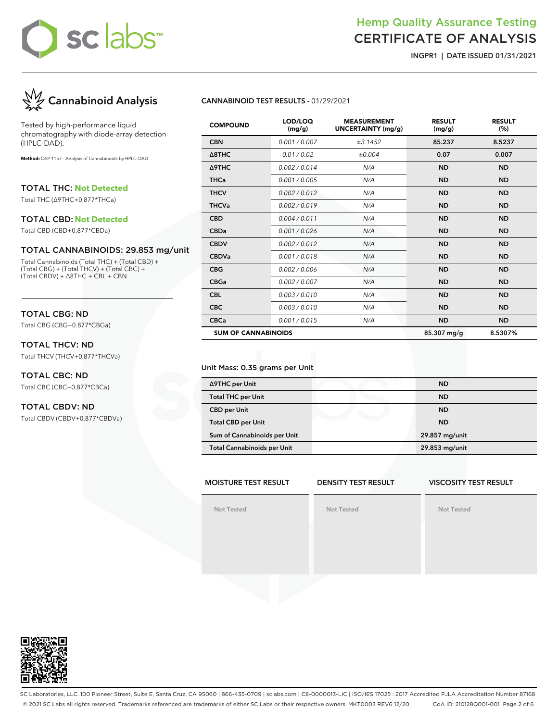## Hemp Quality Assurance Testing CERTIFICATE OF ANALYSIS

**INGPR1 | DATE ISSUED 01/31/2021**



Tested by high-performance liquid chromatography with diode-array detection (HPLC-DAD).

**Method:** QSP 1157 - Analysis of Cannabinoids by HPLC-DAD

TOTAL THC: **Not Detected**

Total THC (∆9THC+0.877\*THCa)

#### TOTAL CBD: **Not Detected**

Total CBD (CBD+0.877\*CBDa)

#### TOTAL CANNABINOIDS: 29.853 mg/unit

Total Cannabinoids (Total THC) + (Total CBD) + (Total CBG) + (Total THCV) + (Total CBC) + (Total CBDV) + ∆8THC + CBL + CBN

## TOTAL CBG: ND

Total CBG (CBG+0.877\*CBGa)

## TOTAL THCV: ND

Total THCV (THCV+0.877\*THCVa)

### TOTAL CBC: ND Total CBC (CBC+0.877\*CBCa)

### TOTAL CBDV: ND

Total CBDV (CBDV+0.877\*CBDVa)

#### **CANNABINOID TEST RESULTS -** 01/29/2021

| <b>COMPOUND</b>            | LOD/LOQ<br>(mg/g) | <b>MEASUREMENT</b><br><b>UNCERTAINTY (mg/g)</b> | <b>RESULT</b><br>(mg/g) | <b>RESULT</b><br>(%) |
|----------------------------|-------------------|-------------------------------------------------|-------------------------|----------------------|
| <b>CBN</b>                 | 0.001 / 0.007     | ±3.1452                                         | 85.237                  | 8.5237               |
| $\triangle$ 8THC           | 0.01/0.02         | ±0.004                                          | 0.07                    | 0.007                |
| Δ9THC                      | 0.002/0.014       | N/A                                             | <b>ND</b>               | <b>ND</b>            |
| <b>THCa</b>                | 0.001/0.005       | N/A                                             | <b>ND</b>               | <b>ND</b>            |
| <b>THCV</b>                | 0.002/0.012       | N/A                                             | <b>ND</b>               | <b>ND</b>            |
| <b>THCVa</b>               | 0.002 / 0.019     | N/A                                             | <b>ND</b>               | <b>ND</b>            |
| <b>CBD</b>                 | 0.004/0.011       | N/A                                             | <b>ND</b>               | <b>ND</b>            |
| <b>CBDa</b>                | 0.001/0.026       | N/A                                             | <b>ND</b>               | <b>ND</b>            |
| <b>CBDV</b>                | 0.002/0.012       | N/A                                             | <b>ND</b>               | <b>ND</b>            |
| <b>CBDVa</b>               | 0.001/0.018       | N/A                                             | <b>ND</b>               | <b>ND</b>            |
| <b>CBG</b>                 | 0.002 / 0.006     | N/A                                             | <b>ND</b>               | <b>ND</b>            |
| <b>CBGa</b>                | 0.002 / 0.007     | N/A                                             | <b>ND</b>               | <b>ND</b>            |
| <b>CBL</b>                 | 0.003/0.010       | N/A                                             | <b>ND</b>               | <b>ND</b>            |
| <b>CBC</b>                 | 0.003/0.010       | N/A                                             | <b>ND</b>               | <b>ND</b>            |
| <b>CBCa</b>                | 0.001 / 0.015     | N/A                                             | <b>ND</b>               | <b>ND</b>            |
| <b>SUM OF CANNABINOIDS</b> |                   |                                                 | 85.307 mg/g             | 8.5307%              |

#### Unit Mass: 0.35 grams per Unit

| ∆9THC per Unit                     | <b>ND</b>      |
|------------------------------------|----------------|
| <b>Total THC per Unit</b>          | <b>ND</b>      |
| <b>CBD per Unit</b>                | <b>ND</b>      |
| <b>Total CBD per Unit</b>          | <b>ND</b>      |
| Sum of Cannabinoids per Unit       | 29.857 mg/unit |
| <b>Total Cannabinoids per Unit</b> | 29.853 mg/unit |

## **MOISTURE TEST RESULT**

## **DENSITY TEST RESULT**

## **VISCOSITY TEST RESULT**

**Not Tested**

**Not Tested**

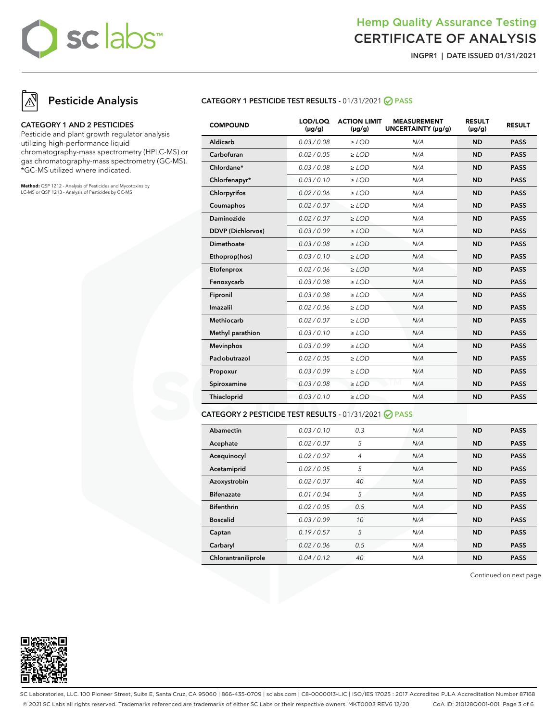## Hemp Quality Assurance Testing CERTIFICATE OF ANALYSIS

**INGPR1 | DATE ISSUED 01/31/2021**

## **Pesticide Analysis**

#### **CATEGORY 1 AND 2 PESTICIDES**

Pesticide and plant growth regulator analysis utilizing high-performance liquid chromatography-mass spectrometry (HPLC-MS) or gas chromatography-mass spectrometry (GC-MS). \*GC-MS utilized where indicated.

**Method:** QSP 1212 - Analysis of Pesticides and Mycotoxins by LC-MS or QSP 1213 - Analysis of Pesticides by GC-MS

## **CATEGORY 1 PESTICIDE TEST RESULTS -** 01/31/2021 **PASS**

| <b>COMPOUND</b>          | LOD/LOQ<br>$(\mu g/g)$ | <b>ACTION LIMIT</b><br>$(\mu g/g)$ | <b>MEASUREMENT</b><br>UNCERTAINTY (µg/g) | <b>RESULT</b><br>$(\mu g/g)$ | <b>RESULT</b> |
|--------------------------|------------------------|------------------------------------|------------------------------------------|------------------------------|---------------|
| Aldicarb                 | 0.03 / 0.08            | $>$ LOD                            | N/A                                      | <b>ND</b>                    | <b>PASS</b>   |
| Carbofuran               | 0.02 / 0.05            | $\ge$ LOD                          | N/A                                      | <b>ND</b>                    | <b>PASS</b>   |
| Chlordane*               | 0.03 / 0.08            | $\ge$ LOD                          | N/A                                      | <b>ND</b>                    | <b>PASS</b>   |
| Chlorfenapyr*            | 0.03/0.10              | $\ge$ LOD                          | N/A                                      | <b>ND</b>                    | <b>PASS</b>   |
| Chlorpyrifos             | 0.02 / 0.06            | $\geq$ LOD                         | N/A                                      | <b>ND</b>                    | <b>PASS</b>   |
| Coumaphos                | 0.02 / 0.07            | $\ge$ LOD                          | N/A                                      | <b>ND</b>                    | <b>PASS</b>   |
| Daminozide               | 0.02/0.07              | $>$ LOD                            | N/A                                      | <b>ND</b>                    | <b>PASS</b>   |
| <b>DDVP</b> (Dichlorvos) | 0.03/0.09              | $\ge$ LOD                          | N/A                                      | <b>ND</b>                    | <b>PASS</b>   |
| <b>Dimethoate</b>        | 0.03 / 0.08            | $>$ LOD                            | N/A                                      | <b>ND</b>                    | <b>PASS</b>   |
| Ethoprop(hos)            | 0.03/0.10              | $>$ LOD                            | N/A                                      | <b>ND</b>                    | <b>PASS</b>   |
| Etofenprox               | 0.02 / 0.06            | $\ge$ LOD                          | N/A                                      | <b>ND</b>                    | <b>PASS</b>   |
| Fenoxycarb               | 0.03 / 0.08            | $\ge$ LOD                          | N/A                                      | <b>ND</b>                    | <b>PASS</b>   |
| Fipronil                 | 0.03 / 0.08            | $\ge$ LOD                          | N/A                                      | <b>ND</b>                    | <b>PASS</b>   |
| Imazalil                 | 0.02 / 0.06            | $\geq$ LOD                         | N/A                                      | <b>ND</b>                    | <b>PASS</b>   |
| <b>Methiocarb</b>        | 0.02 / 0.07            | $\ge$ LOD                          | N/A                                      | <b>ND</b>                    | <b>PASS</b>   |
| Methyl parathion         | 0.03/0.10              | $\ge$ LOD                          | N/A                                      | <b>ND</b>                    | <b>PASS</b>   |
| <b>Mevinphos</b>         | 0.03/0.09              | $\ge$ LOD                          | N/A                                      | <b>ND</b>                    | <b>PASS</b>   |
| Paclobutrazol            | 0.02 / 0.05            | $>$ LOD                            | N/A                                      | <b>ND</b>                    | <b>PASS</b>   |
| Propoxur                 | 0.03/0.09              | $\ge$ LOD                          | N/A                                      | <b>ND</b>                    | <b>PASS</b>   |
| Spiroxamine              | 0.03/0.08              | $\ge$ LOD                          | M<br>N/A                                 | <b>ND</b>                    | <b>PASS</b>   |
| Thiacloprid              | 0.03/0.10              | $\ge$ LOD                          | N/A                                      | <b>ND</b>                    | <b>PASS</b>   |
|                          |                        |                                    |                                          |                              |               |

#### **CATEGORY 2 PESTICIDE TEST RESULTS -** 01/31/2021 **PASS**

| Abamectin           | 0.03 / 0.10 | 0.3 | N/A | <b>ND</b> | <b>PASS</b> |
|---------------------|-------------|-----|-----|-----------|-------------|
| Acephate            | 0.02 / 0.07 | 5   | N/A | <b>ND</b> | <b>PASS</b> |
| Acequinocyl         | 0.02 / 0.07 | 4   | N/A | <b>ND</b> | <b>PASS</b> |
| Acetamiprid         | 0.02 / 0.05 | 5   | N/A | <b>ND</b> | <b>PASS</b> |
| Azoxystrobin        | 0.02 / 0.07 | 40  | N/A | <b>ND</b> | <b>PASS</b> |
| <b>Bifenazate</b>   | 0.01 / 0.04 | 5   | N/A | <b>ND</b> | <b>PASS</b> |
| <b>Bifenthrin</b>   | 0.02 / 0.05 | 0.5 | N/A | <b>ND</b> | <b>PASS</b> |
| <b>Boscalid</b>     | 0.03/0.09   | 10  | N/A | <b>ND</b> | <b>PASS</b> |
| Captan              | 0.19/0.57   | 5   | N/A | <b>ND</b> | <b>PASS</b> |
| Carbaryl            | 0.02 / 0.06 | 0.5 | N/A | <b>ND</b> | <b>PASS</b> |
| Chlorantraniliprole | 0.04/0.12   | 40  | N/A | <b>ND</b> | <b>PASS</b> |

Continued on next page



SC Laboratories, LLC. 100 Pioneer Street, Suite E, Santa Cruz, CA 95060 | 866-435-0709 | sclabs.com | C8-0000013-LIC | ISO/IES 17025 : 2017 Accredited PJLA Accreditation Number 87168 © 2021 SC Labs all rights reserved. Trademarks referenced are trademarks of either SC Labs or their respective owners. MKT0003 REV6 12/20 CoA ID: 210128Q001-001 Page 3 of 6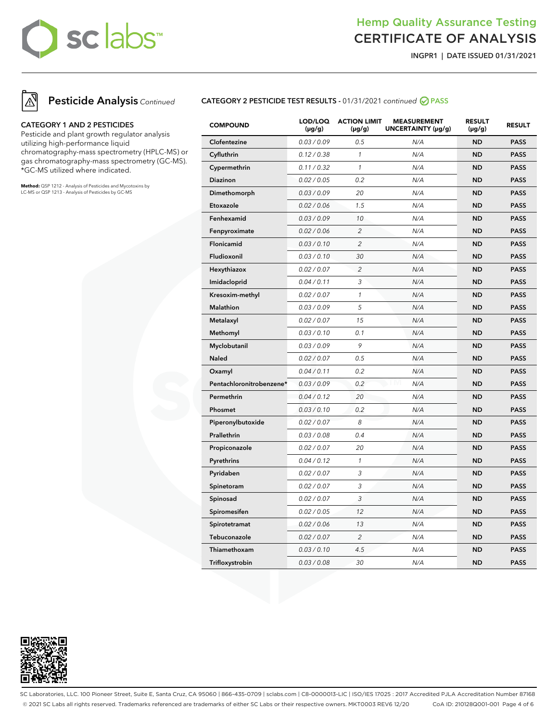## Hemp Quality Assurance Testing CERTIFICATE OF ANALYSIS

**INGPR1 | DATE ISSUED 01/31/2021**



### **CATEGORY 1 AND 2 PESTICIDES**

Pesticide and plant growth regulator analysis utilizing high-performance liquid chromatography-mass spectrometry (HPLC-MS) or gas chromatography-mass spectrometry (GC-MS). \*GC-MS utilized where indicated.

**Method:** QSP 1212 - Analysis of Pesticides and Mycotoxins by LC-MS or QSP 1213 - Analysis of Pesticides by GC-MS

## **CATEGORY 2 PESTICIDE TEST RESULTS -** 01/31/2021 continued **PASS**

| <b>COMPOUND</b>          | LOD/LOQ<br>$(\mu g/g)$ | <b>ACTION LIMIT</b><br>$(\mu g/g)$ | <b>MEASUREMENT</b><br>UNCERTAINTY (µg/g) | <b>RESULT</b><br>(µg/g) | <b>RESULT</b> |
|--------------------------|------------------------|------------------------------------|------------------------------------------|-------------------------|---------------|
| Clofentezine             | 0.03 / 0.09            | 0.5                                | N/A                                      | <b>ND</b>               | <b>PASS</b>   |
| Cyfluthrin               | 0.12 / 0.38            | $\mathcal{I}$                      | N/A                                      | <b>ND</b>               | <b>PASS</b>   |
| Cypermethrin             | 0.11 / 0.32            | $\mathcal{I}$                      | N/A                                      | <b>ND</b>               | <b>PASS</b>   |
| Diazinon                 | 0.02 / 0.05            | 0.2                                | N/A                                      | <b>ND</b>               | <b>PASS</b>   |
| Dimethomorph             | 0.03 / 0.09            | 20                                 | N/A                                      | <b>ND</b>               | <b>PASS</b>   |
| Etoxazole                | 0.02 / 0.06            | 1.5                                | N/A                                      | <b>ND</b>               | <b>PASS</b>   |
| Fenhexamid               | 0.03 / 0.09            | 10                                 | N/A                                      | <b>ND</b>               | <b>PASS</b>   |
| Fenpyroximate            | 0.02 / 0.06            | $\overline{c}$                     | N/A                                      | <b>ND</b>               | <b>PASS</b>   |
| Flonicamid               | 0.03 / 0.10            | 2                                  | N/A                                      | <b>ND</b>               | <b>PASS</b>   |
| Fludioxonil              | 0.03 / 0.10            | 30                                 | N/A                                      | <b>ND</b>               | <b>PASS</b>   |
| Hexythiazox              | 0.02 / 0.07            | $\overline{2}$                     | N/A                                      | <b>ND</b>               | <b>PASS</b>   |
| Imidacloprid             | 0.04 / 0.11            | 3                                  | N/A                                      | <b>ND</b>               | <b>PASS</b>   |
| Kresoxim-methyl          | 0.02 / 0.07            | $\mathbf{1}$                       | N/A                                      | <b>ND</b>               | <b>PASS</b>   |
| <b>Malathion</b>         | 0.03 / 0.09            | 5                                  | N/A                                      | <b>ND</b>               | <b>PASS</b>   |
| Metalaxyl                | 0.02 / 0.07            | 15                                 | N/A                                      | <b>ND</b>               | <b>PASS</b>   |
| Methomyl                 | 0.03 / 0.10            | 0.1                                | N/A                                      | <b>ND</b>               | <b>PASS</b>   |
| Myclobutanil             | 0.03 / 0.09            | 9                                  | N/A                                      | <b>ND</b>               | <b>PASS</b>   |
| <b>Naled</b>             | 0.02 / 0.07            | 0.5                                | N/A                                      | <b>ND</b>               | <b>PASS</b>   |
| Oxamyl                   | 0.04 / 0.11            | 0.2                                | N/A                                      | <b>ND</b>               | <b>PASS</b>   |
| Pentachloronitrobenzene* | 0.03 / 0.09            | 0.2                                | N/A                                      | <b>ND</b>               | <b>PASS</b>   |
| Permethrin               | 0.04 / 0.12            | 20                                 | N/A                                      | <b>ND</b>               | <b>PASS</b>   |
| Phosmet                  | 0.03 / 0.10            | 0.2                                | N/A                                      | <b>ND</b>               | <b>PASS</b>   |
| Piperonylbutoxide        | 0.02 / 0.07            | 8                                  | N/A                                      | <b>ND</b>               | <b>PASS</b>   |
| Prallethrin              | 0.03 / 0.08            | 0.4                                | N/A                                      | <b>ND</b>               | <b>PASS</b>   |
| Propiconazole            | 0.02 / 0.07            | 20                                 | N/A                                      | <b>ND</b>               | <b>PASS</b>   |
| Pyrethrins               | 0.04 / 0.12            | $\mathcal{I}$                      | N/A                                      | <b>ND</b>               | <b>PASS</b>   |
| Pyridaben                | 0.02 / 0.07            | 3                                  | N/A                                      | <b>ND</b>               | <b>PASS</b>   |
| Spinetoram               | 0.02 / 0.07            | 3                                  | N/A                                      | <b>ND</b>               | <b>PASS</b>   |
| Spinosad                 | 0.02 / 0.07            | 3                                  | N/A                                      | <b>ND</b>               | <b>PASS</b>   |
| Spiromesifen             | 0.02 / 0.05            | 12                                 | N/A                                      | <b>ND</b>               | <b>PASS</b>   |
| Spirotetramat            | 0.02 / 0.06            | 13                                 | N/A                                      | <b>ND</b>               | <b>PASS</b>   |
| Tebuconazole             | 0.02 / 0.07            | $\overline{c}$                     | N/A                                      | <b>ND</b>               | <b>PASS</b>   |
| Thiamethoxam             | 0.03 / 0.10            | 4.5                                | N/A                                      | <b>ND</b>               | <b>PASS</b>   |
| Trifloxystrobin          | 0.03 / 0.08            | 30                                 | N/A                                      | <b>ND</b>               | <b>PASS</b>   |



SC Laboratories, LLC. 100 Pioneer Street, Suite E, Santa Cruz, CA 95060 | 866-435-0709 | sclabs.com | C8-0000013-LIC | ISO/IES 17025 : 2017 Accredited PJLA Accreditation Number 87168 © 2021 SC Labs all rights reserved. Trademarks referenced are trademarks of either SC Labs or their respective owners. MKT0003 REV6 12/20 CoA ID: 210128Q001-001 Page 4 of 6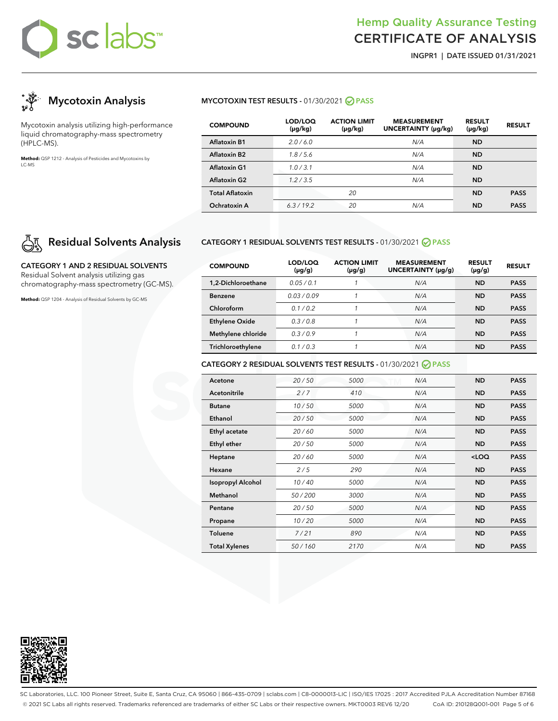## Hemp Quality Assurance Testing CERTIFICATE OF ANALYSIS

**INGPR1 | DATE ISSUED 01/31/2021**



Mycotoxin analysis utilizing high-performance liquid chromatography-mass spectrometry (HPLC-MS).

**Method:** QSP 1212 - Analysis of Pesticides and Mycotoxins by LC-MS

## **Residual Solvents Analysis**

**CATEGORY 1 AND 2 RESIDUAL SOLVENTS** Residual Solvent analysis utilizing gas chromatography-mass spectrometry (GC-MS).

**Method:** QSP 1204 - Analysis of Residual Solvents by GC-MS

## **MYCOTOXIN TEST RESULTS - 01/30/2021 ⊘ PASS**

| <b>COMPOUND</b>        | LOD/LOQ<br>$(\mu g/kg)$ | <b>ACTION LIMIT</b><br>$(\mu g/kg)$ | <b>MEASUREMENT</b><br><b>UNCERTAINTY (µq/kq)</b> | <b>RESULT</b><br>$(\mu g/kg)$ | <b>RESULT</b> |
|------------------------|-------------------------|-------------------------------------|--------------------------------------------------|-------------------------------|---------------|
| <b>Aflatoxin B1</b>    | 2.0/6.0                 |                                     | N/A                                              | <b>ND</b>                     |               |
| Aflatoxin B2           | 1.8/5.6                 |                                     | N/A                                              | <b>ND</b>                     |               |
| Aflatoxin G1           | 1.0/3.1                 |                                     | N/A                                              | <b>ND</b>                     |               |
| <b>Aflatoxin G2</b>    | 1.2/3.5                 |                                     | N/A                                              | <b>ND</b>                     |               |
| <b>Total Aflatoxin</b> |                         | 20                                  |                                                  | <b>ND</b>                     | <b>PASS</b>   |
| Ochratoxin A           | 6.3/19.2                | 20                                  | N/A                                              | ND                            | <b>PASS</b>   |

### **CATEGORY 1 RESIDUAL SOLVENTS TEST RESULTS -** 01/30/2021 **PASS**

| <b>COMPOUND</b>       | LOD/LOQ<br>$(\mu g/g)$ | <b>ACTION LIMIT</b><br>$(\mu g/g)$ | <b>MEASUREMENT</b><br>UNCERTAINTY (µq/q) | <b>RESULT</b><br>$(\mu g/g)$ | <b>RESULT</b> |
|-----------------------|------------------------|------------------------------------|------------------------------------------|------------------------------|---------------|
| 1,2-Dichloroethane    | 0.05/0.1               |                                    | N/A                                      | <b>ND</b>                    | <b>PASS</b>   |
| <b>Benzene</b>        | 0.03/0.09              |                                    | N/A                                      | <b>ND</b>                    | <b>PASS</b>   |
| Chloroform            | 0.1/0.2                |                                    | N/A                                      | <b>ND</b>                    | <b>PASS</b>   |
| <b>Ethylene Oxide</b> | 0.3/0.8                |                                    | N/A                                      | <b>ND</b>                    | <b>PASS</b>   |
| Methylene chloride    | 0.3/0.9                |                                    | N/A                                      | ND                           | <b>PASS</b>   |
| Trichloroethylene     | 0.1/0.3                |                                    | N/A                                      | <b>ND</b>                    | <b>PASS</b>   |

### **CATEGORY 2 RESIDUAL SOLVENTS TEST RESULTS -** 01/30/2021 **PASS**

| Acetone                  | 20/50  | 5000 | N/A | <b>ND</b> | <b>PASS</b> |
|--------------------------|--------|------|-----|-----------|-------------|
| <b>Acetonitrile</b>      | 2/7    | 410  | N/A | <b>ND</b> | <b>PASS</b> |
| <b>Butane</b>            | 10/50  | 5000 | N/A | <b>ND</b> | <b>PASS</b> |
| Ethanol                  | 20/50  | 5000 | N/A | <b>ND</b> | <b>PASS</b> |
| Ethyl acetate            | 20/60  | 5000 | N/A | <b>ND</b> | <b>PASS</b> |
| <b>Ethyl ether</b>       | 20/50  | 5000 | N/A | <b>ND</b> | <b>PASS</b> |
| Heptane                  | 20/60  | 5000 | N/A | $<$ LOQ   | <b>PASS</b> |
| Hexane                   | 2/5    | 290  | N/A | <b>ND</b> | <b>PASS</b> |
| <b>Isopropyl Alcohol</b> | 10/40  | 5000 | N/A | <b>ND</b> | <b>PASS</b> |
| Methanol                 | 50/200 | 3000 | N/A | <b>ND</b> | <b>PASS</b> |
| Pentane                  | 20/50  | 5000 | N/A | <b>ND</b> | <b>PASS</b> |
| Propane                  | 10/20  | 5000 | N/A | <b>ND</b> | <b>PASS</b> |
| <b>Toluene</b>           | 7/21   | 890  | N/A | <b>ND</b> | <b>PASS</b> |
| <b>Total Xylenes</b>     | 50/160 | 2170 | N/A | <b>ND</b> | <b>PASS</b> |



SC Laboratories, LLC. 100 Pioneer Street, Suite E, Santa Cruz, CA 95060 | 866-435-0709 | sclabs.com | C8-0000013-LIC | ISO/IES 17025 : 2017 Accredited PJLA Accreditation Number 87168 © 2021 SC Labs all rights reserved. Trademarks referenced are trademarks of either SC Labs or their respective owners. MKT0003 REV6 12/20 CoA ID: 210128Q001-001 Page 5 of 6